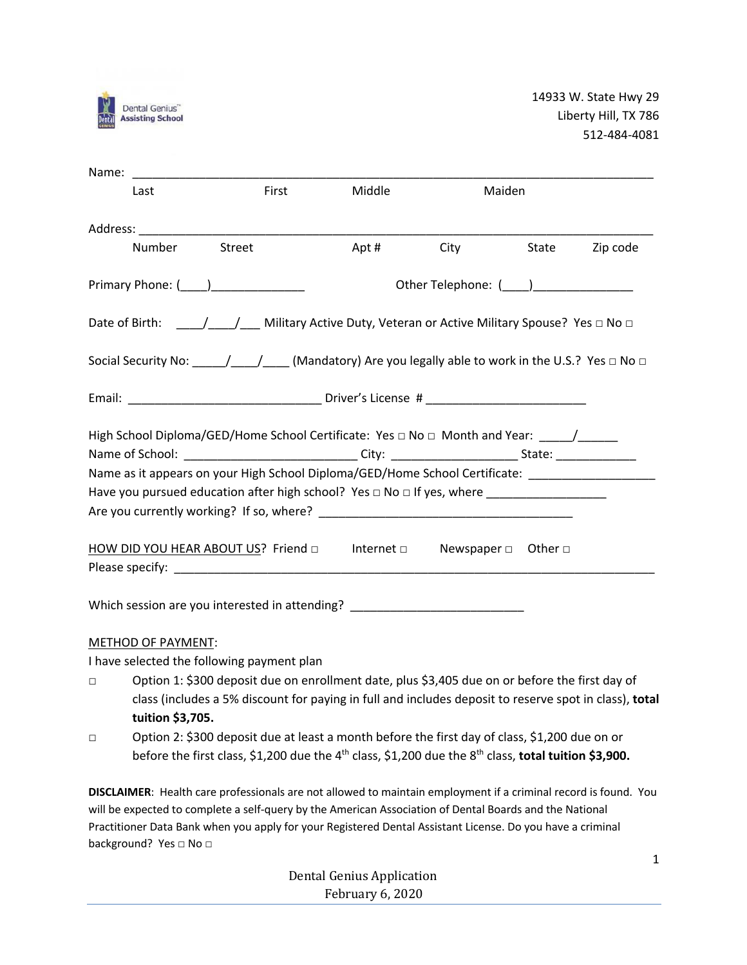

| Name:                                                                                                                                                                                                                                                                                                                                                                                                             |                                           |        |                  |       |          |
|-------------------------------------------------------------------------------------------------------------------------------------------------------------------------------------------------------------------------------------------------------------------------------------------------------------------------------------------------------------------------------------------------------------------|-------------------------------------------|--------|------------------|-------|----------|
| Last                                                                                                                                                                                                                                                                                                                                                                                                              | First                                     | Middle | Maiden           |       |          |
| Address: No. 1996. Address: No. 1997. In the United States of the United States of the United States of the United States of the United States of the United States of the United States of the United States of the United St                                                                                                                                                                                    |                                           |        |                  |       |          |
| Number                                                                                                                                                                                                                                                                                                                                                                                                            | Street                                    | Apt #  | <b>City City</b> | State | Zip code |
| Primary Phone: (_____)________________                                                                                                                                                                                                                                                                                                                                                                            | Other Telephone: (____)__________________ |        |                  |       |          |
|                                                                                                                                                                                                                                                                                                                                                                                                                   |                                           |        |                  |       |          |
| Social Security No: $\frac{1}{\sqrt{1-\frac{1}{\sqrt{1-\frac{1}{\sqrt{1-\frac{1}{\sqrt{1-\frac{1}{\sqrt{1-\frac{1}{\sqrt{1-\frac{1}{\sqrt{1-\frac{1}{\sqrt{1-\frac{1}{\sqrt{1-\frac{1}{\sqrt{1-\frac{1}{\sqrt{1-\frac{1}{\sqrt{1-\frac{1}{\sqrt{1-\frac{1}{\sqrt{1-\frac{1}{\sqrt{1-\frac{1}{\sqrt{1-\frac{1}{\sqrt{1-\frac{1}{\sqrt{1-\frac{1}{\sqrt{1-\frac{1}{\sqrt{1-\frac{1}{\sqrt{1-\frac{1}{\sqrt{1-\frac$ |                                           |        |                  |       |          |
|                                                                                                                                                                                                                                                                                                                                                                                                                   |                                           |        |                  |       |          |
| High School Diploma/GED/Home School Certificate: Yes □ No □ Month and Year: _____/______                                                                                                                                                                                                                                                                                                                          |                                           |        |                  |       |          |
| Name of School: _______________________________City: __________________________State: ______________                                                                                                                                                                                                                                                                                                              |                                           |        |                  |       |          |
| Name as it appears on your High School Diploma/GED/Home School Certificate: _______________________                                                                                                                                                                                                                                                                                                               |                                           |        |                  |       |          |
|                                                                                                                                                                                                                                                                                                                                                                                                                   |                                           |        |                  |       |          |
|                                                                                                                                                                                                                                                                                                                                                                                                                   |                                           |        |                  |       |          |
| HOW DID YOU HEAR ABOUT US? Friend □ lnternet □ Newspaper □ Other □                                                                                                                                                                                                                                                                                                                                                |                                           |        |                  |       |          |
| Which session are you interested in attending?                                                                                                                                                                                                                                                                                                                                                                    |                                           |        |                  |       |          |

## METHOD OF PAYMENT:

I have selected the following payment plan

- □ Option 1: \$300 deposit due on enrollment date, plus \$3,405 due on or before the first day of class (includes a 5% discount for paying in full and includes deposit to reserve spot in class), **total tuition \$3,705.**
- □ Option 2: \$300 deposit due at least a month before the first day of class, \$1,200 due on or before the first class, \$1,200 due the 4<sup>th</sup> class, \$1,200 due the 8<sup>th</sup> class, **total tuition \$3,900.**

**DISCLAIMER**: Health care professionals are not allowed to maintain employment if a criminal record is found. You will be expected to complete a self-query by the American Association of Dental Boards and the National Practitioner Data Bank when you apply for your Registered Dental Assistant License. Do you have a criminal background? Yes □ No □